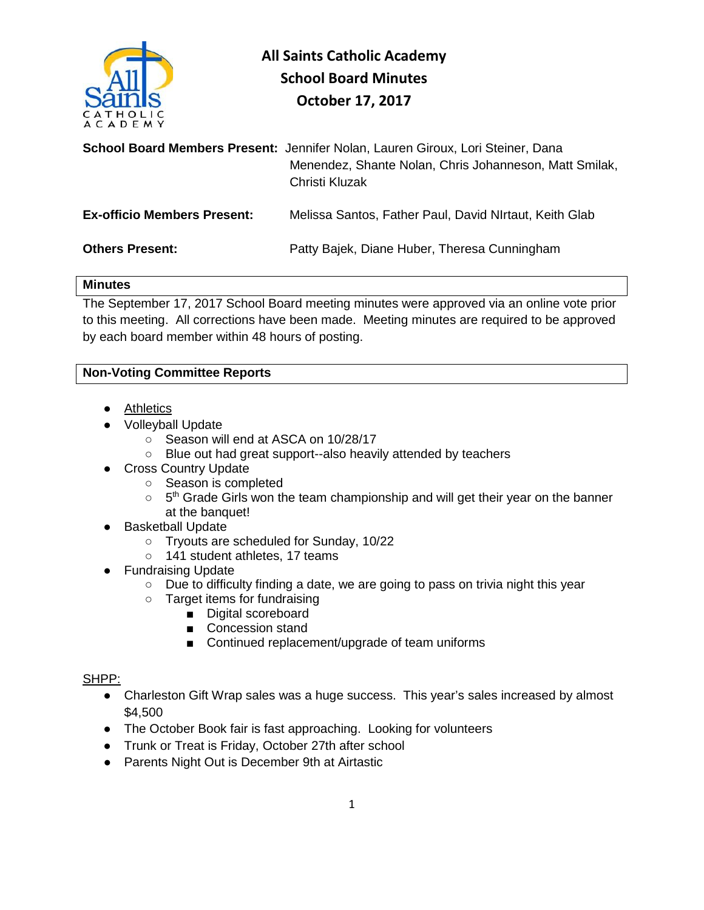

|                                    | School Board Members Present: Jennifer Nolan, Lauren Giroux, Lori Steiner, Dana<br>Menendez, Shante Nolan, Chris Johanneson, Matt Smilak,<br>Christi Kluzak |
|------------------------------------|-------------------------------------------------------------------------------------------------------------------------------------------------------------|
| <b>Ex-officio Members Present:</b> | Melissa Santos, Father Paul, David NIrtaut, Keith Glab                                                                                                      |
| <b>Others Present:</b>             | Patty Bajek, Diane Huber, Theresa Cunningham                                                                                                                |

### **Minutes**

The September 17, 2017 School Board meeting minutes were approved via an online vote prior to this meeting. All corrections have been made. Meeting minutes are required to be approved by each board member within 48 hours of posting.

# **Non-Voting Committee Reports**

- Athletics
- Volleyball Update
	- Season will end at ASCA on 10/28/17
	- Blue out had great support--also heavily attended by teachers
- Cross Country Update
	- Season is completed
	- $\circ$  5<sup>th</sup> Grade Girls won the team championship and will get their year on the banner at the banquet!
- Basketball Update
	- Tryouts are scheduled for Sunday, 10/22
	- 141 student athletes, 17 teams
- Fundraising Update
	- Due to difficulty finding a date, we are going to pass on trivia night this year
	- Target items for fundraising
		- Digital scoreboard
		- Concession stand
		- Continued replacement/upgrade of team uniforms

## SHPP:

- Charleston Gift Wrap sales was a huge success. This year's sales increased by almost \$4,500
- The October Book fair is fast approaching. Looking for volunteers
- Trunk or Treat is Friday, October 27th after school
- Parents Night Out is December 9th at Airtastic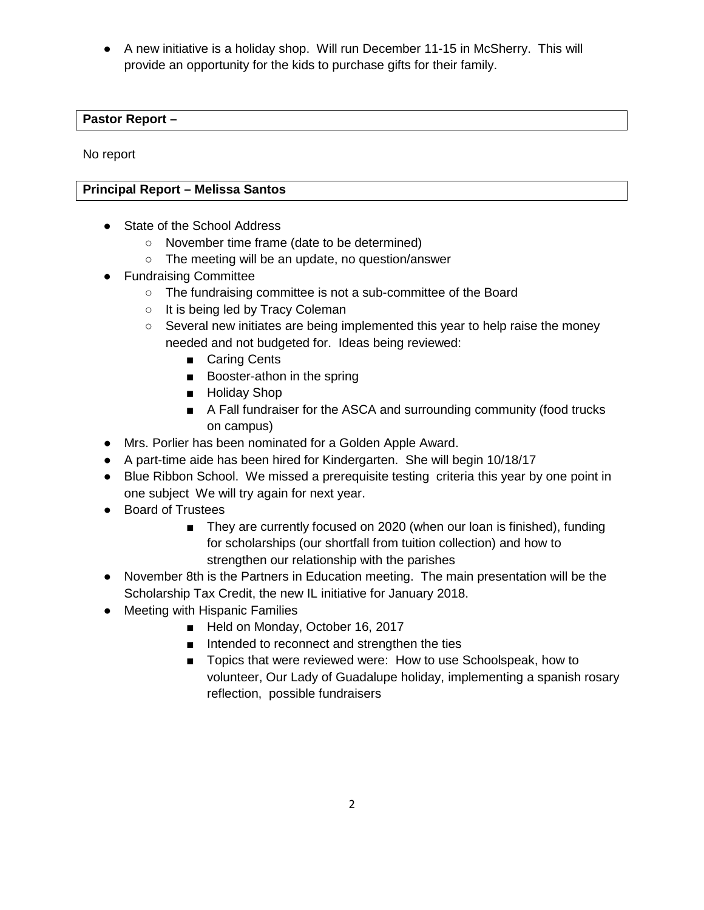● A new initiative is a holiday shop. Will run December 11-15 in McSherry. This will provide an opportunity for the kids to purchase gifts for their family.

## **Pastor Report –**

No report

# **Principal Report – Melissa Santos**

- State of the School Address
	- November time frame (date to be determined)
	- o The meeting will be an update, no question/answer
- Fundraising Committee
	- The fundraising committee is not a sub-committee of the Board
	- It is being led by Tracy Coleman
	- $\circ$  Several new initiates are being implemented this year to help raise the money needed and not budgeted for. Ideas being reviewed:
		- Caring Cents
		- Booster-athon in the spring
		- Holiday Shop
		- A Fall fundraiser for the ASCA and surrounding community (food trucks on campus)
- Mrs. Porlier has been nominated for a Golden Apple Award.
- A part-time aide has been hired for Kindergarten. She will begin 10/18/17
- Blue Ribbon School. We missed a prerequisite testing criteria this year by one point in one subject We will try again for next year.
- Board of Trustees
	- They are currently focused on 2020 (when our loan is finished), funding for scholarships (our shortfall from tuition collection) and how to strengthen our relationship with the parishes
- November 8th is the Partners in Education meeting. The main presentation will be the Scholarship Tax Credit, the new IL initiative for January 2018.
- Meeting with Hispanic Families
	- Held on Monday, October 16, 2017
	- Intended to reconnect and strengthen the ties
	- Topics that were reviewed were: How to use Schoolspeak, how to volunteer, Our Lady of Guadalupe holiday, implementing a spanish rosary reflection, possible fundraisers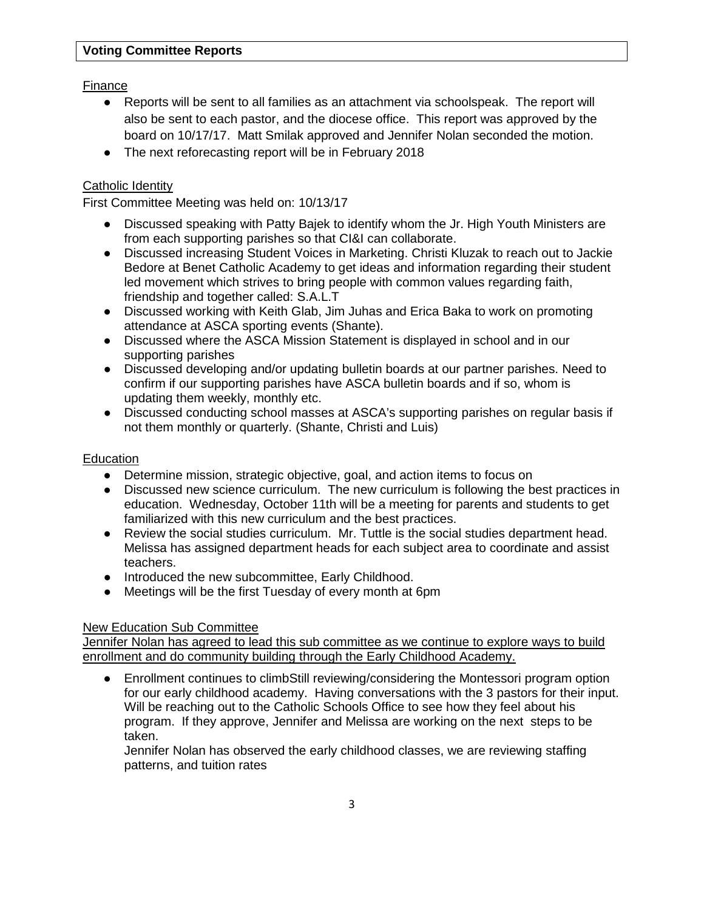Finance

- Reports will be sent to all families as an attachment via schoolspeak. The report will also be sent to each pastor, and the diocese office. This report was approved by the board on 10/17/17. Matt Smilak approved and Jennifer Nolan seconded the motion.
- The next reforecasting report will be in February 2018

# Catholic Identity

First Committee Meeting was held on: 10/13/17

- Discussed speaking with Patty Bajek to identify whom the Jr. High Youth Ministers are from each supporting parishes so that CI&I can collaborate.
- Discussed increasing Student Voices in Marketing. Christi Kluzak to reach out to Jackie Bedore at Benet Catholic Academy to get ideas and information regarding their student led movement which strives to bring people with common values regarding faith, friendship and together called: S.A.L.T
- Discussed working with Keith Glab, Jim Juhas and Erica Baka to work on promoting attendance at ASCA sporting events (Shante).
- Discussed where the ASCA Mission Statement is displayed in school and in our supporting parishes
- Discussed developing and/or updating bulletin boards at our partner parishes. Need to confirm if our supporting parishes have ASCA bulletin boards and if so, whom is updating them weekly, monthly etc.
- Discussed conducting school masses at ASCA's supporting parishes on regular basis if not them monthly or quarterly. (Shante, Christi and Luis)

#### **Education**

- Determine mission, strategic objective, goal, and action items to focus on
- Discussed new science curriculum. The new curriculum is following the best practices in education. Wednesday, October 11th will be a meeting for parents and students to get familiarized with this new curriculum and the best practices.
- Review the social studies curriculum. Mr. Tuttle is the social studies department head. Melissa has assigned department heads for each subject area to coordinate and assist teachers.
- Introduced the new subcommittee, Early Childhood.
- Meetings will be the first Tuesday of every month at 6pm

## New Education Sub Committee

Jennifer Nolan has agreed to lead this sub committee as we continue to explore ways to build enrollment and do community building through the Early Childhood Academy.

● Enrollment continues to climbStill reviewing/considering the Montessori program option for our early childhood academy. Having conversations with the 3 pastors for their input. Will be reaching out to the Catholic Schools Office to see how they feel about his program. If they approve, Jennifer and Melissa are working on the next steps to be taken.

Jennifer Nolan has observed the early childhood classes, we are reviewing staffing patterns, and tuition rates